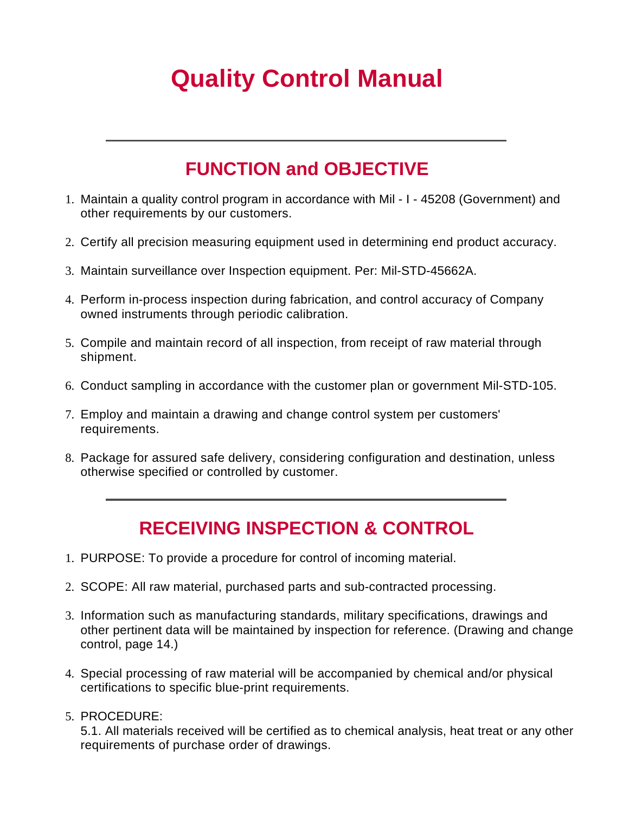# **Quality Control Manual**

# **FUNCTION and OBJECTIVE**

- 1. Maintain a quality control program in accordance with Mil I 45208 (Government) and other requirements by our customers.
- 2. Certify all precision measuring equipment used in determining end product accuracy.
- 3. Maintain surveillance over Inspection equipment. Per: Mil-STD-45662A.
- 4. Perform in-process inspection during fabrication, and control accuracy of Company owned instruments through periodic calibration.
- 5. Compile and maintain record of all inspection, from receipt of raw material through shipment.
- 6. Conduct sampling in accordance with the customer plan or government Mil-STD-105.
- 7. Employ and maintain a drawing and change control system per customers' requirements.
- 8. Package for assured safe delivery, considering configuration and destination, unless otherwise specified or controlled by customer.

# **RECEIVING INSPECTION & CONTROL**

- 1. PURPOSE: To provide a procedure for control of incoming material.
- 2. SCOPE: All raw material, purchased parts and sub-contracted processing.
- 3. Information such as manufacturing standards, military specifications, drawings and other pertinent data will be maintained by inspection for reference. (Drawing and change control, page 14.)
- 4. Special processing of raw material will be accompanied by chemical and/or physical certifications to specific blue-print requirements.
- 5. PROCEDURE:

5.1. All materials received will be certified as to chemical analysis, heat treat or any other requirements of purchase order of drawings.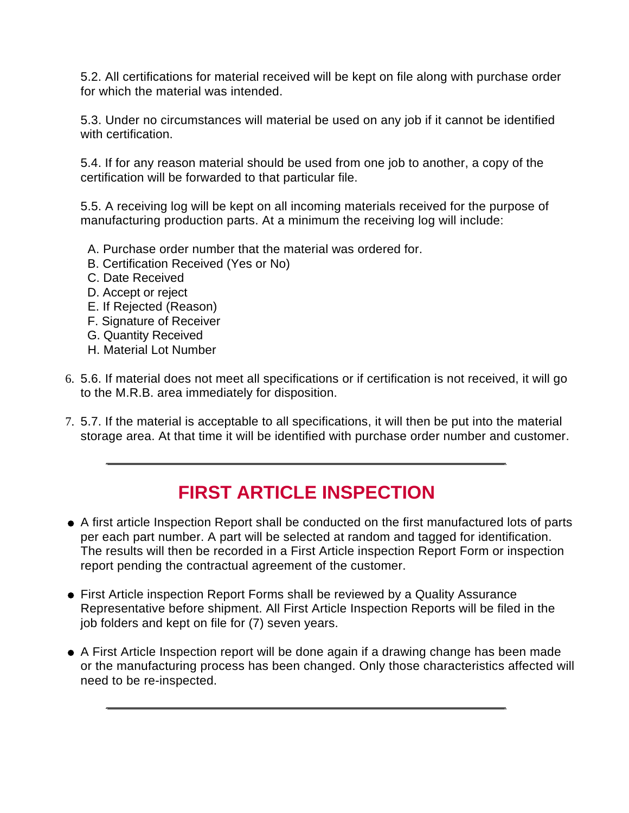5.2. All certifications for material received will be kept on file along with purchase order for which the material was intended.

5.3. Under no circumstances will material be used on any job if it cannot be identified with certification.

5.4. If for any reason material should be used from one job to another, a copy of the certification will be forwarded to that particular file.

5.5. A receiving log will be kept on all incoming materials received for the purpose of manufacturing production parts. At a minimum the receiving log will include:

- A. Purchase order number that the material was ordered for.
- B. Certification Received (Yes or No)
- C. Date Received
- D. Accept or reject
- E. If Rejected (Reason)
- F. Signature of Receiver
- G. Quantity Received
- H. Material Lot Number
- 6. 5.6. If material does not meet all specifications or if certification is not received, it will go to the M.R.B. area immediately for disposition.
- 7. 5.7. If the material is acceptable to all specifications, it will then be put into the material storage area. At that time it will be identified with purchase order number and customer.

#### **FIRST ARTICLE INSPECTION**

- A first article Inspection Report shall be conducted on the first manufactured lots of parts per each part number. A part will be selected at random and tagged for identification. The results will then be recorded in a First Article inspection Report Form or inspection report pending the contractual agreement of the customer.
- First Article inspection Report Forms shall be reviewed by a Quality Assurance Representative before shipment. All First Article Inspection Reports will be filed in the job folders and kept on file for (7) seven years.
- A First Article Inspection report will be done again if a drawing change has been made or the manufacturing process has been changed. Only those characteristics affected will need to be re-inspected.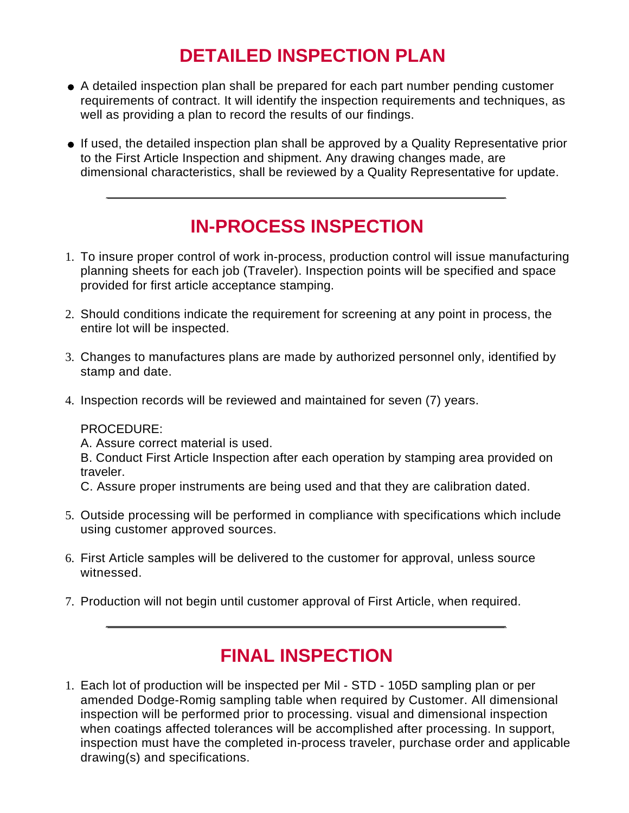# **DETAILED INSPECTION PLAN**

- A detailed inspection plan shall be prepared for each part number pending customer requirements of contract. It will identify the inspection requirements and techniques, as well as providing a plan to record the results of our findings.
- If used, the detailed inspection plan shall be approved by a Quality Representative prior to the First Article Inspection and shipment. Any drawing changes made, are dimensional characteristics, shall be reviewed by a Quality Representative for update.

#### **IN-PROCESS INSPECTION**

- 1. To insure proper control of work in-process, production control will issue manufacturing planning sheets for each job (Traveler). Inspection points will be specified and space provided for first article acceptance stamping.
- 2. Should conditions indicate the requirement for screening at any point in process, the entire lot will be inspected.
- 3. Changes to manufactures plans are made by authorized personnel only, identified by stamp and date.
- 4. Inspection records will be reviewed and maintained for seven (7) years.

#### PROCEDURE:

A. Assure correct material is used.

B. Conduct First Article Inspection after each operation by stamping area provided on traveler.

C. Assure proper instruments are being used and that they are calibration dated.

- 5. Outside processing will be performed in compliance with specifications which include using customer approved sources.
- 6. First Article samples will be delivered to the customer for approval, unless source witnessed.
- 7. Production will not begin until customer approval of First Article, when required.

# **FINAL INSPECTION**

1. Each lot of production will be inspected per Mil - STD - 105D sampling plan or per amended Dodge-Romig sampling table when required by Customer. All dimensional inspection will be performed prior to processing. visual and dimensional inspection when coatings affected tolerances will be accomplished after processing. In support, inspection must have the completed in-process traveler, purchase order and applicable drawing(s) and specifications.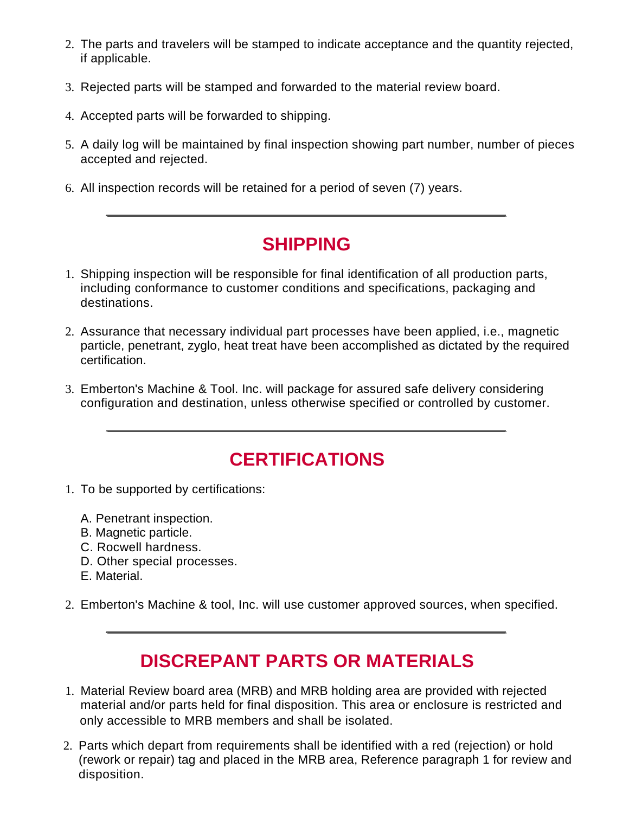- 2. The parts and travelers will be stamped to indicate acceptance and the quantity rejected, if applicable.
- 3. Rejected parts will be stamped and forwarded to the material review board.
- 4. Accepted parts will be forwarded to shipping.
- 5. A daily log will be maintained by final inspection showing part number, number of pieces accepted and rejected.
- 6. All inspection records will be retained for a period of seven (7) years.

#### **SHIPPING**

- 1. Shipping inspection will be responsible for final identification of all production parts, including conformance to customer conditions and specifications, packaging and destinations.
- 2. Assurance that necessary individual part processes have been applied, i.e., magnetic particle, penetrant, zyglo, heat treat have been accomplished as dictated by the required certification.
- 3. Emberton's Machine & Tool. Inc. will package for assured safe delivery considering configuration and destination, unless otherwise specified or controlled by customer.

# **CERTIFICATIONS**

- 1. To be supported by certifications:
	- A. Penetrant inspection.
	- B. Magnetic particle.
	- C. Rocwell hardness.
	- D. Other special processes.
	- E. Material.
- 2. Emberton's Machine & tool, Inc. will use customer approved sources, when specified.

# **DISCREPANT PARTS OR MATERIALS**

- 1. Material Review board area (MRB) and MRB holding area are provided with rejected material and/or parts held for final disposition. This area or enclosure is restricted and only accessible to MRB members and shall be isolated.
- 2. Parts which depart from requirements shall be identified with a red (rejection) or hold (rework or repair) tag and placed in the MRB area, Reference paragraph 1 for review and disposition.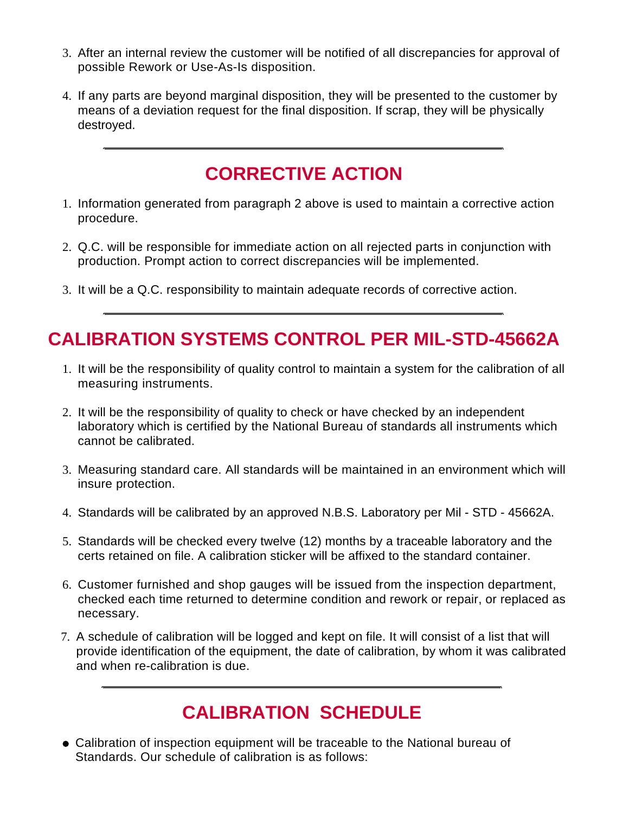- 3. After an internal review the customer will be notified of all discrepancies for approval of possible Rework or Use-As-Is disposition.
- 4. If any parts are beyond marginal disposition, they will be presented to the customer by means of a deviation request for the final disposition. If scrap, they will be physically destroyed.

#### **CORRECTIVE ACTION**

- 1. Information generated from paragraph 2 above is used to maintain a corrective action procedure.
- 2. Q.C. will be responsible for immediate action on all rejected parts in conjunction with production. Prompt action to correct discrepancies will be implemented.
- 3. It will be a Q.C. responsibility to maintain adequate records of corrective action.

#### **CALIBRATION SYSTEMS CONTROL PER MIL-STD-45662A**

- 1. It will be the responsibility of quality control to maintain a system for the calibration of all measuring instruments.
- 2. It will be the responsibility of quality to check or have checked by an independent laboratory which is certified by the National Bureau of standards all instruments which cannot be calibrated.
- 3. Measuring standard care. All standards will be maintained in an environment which will insure protection.
- 4. Standards will be calibrated by an approved N.B.S. Laboratory per Mil STD 45662A.
- 5. Standards will be checked every twelve (12) months by a traceable laboratory and the certs retained on file. A calibration sticker will be affixed to the standard container.
- 6. Customer furnished and shop gauges will be issued from the inspection department, checked each time returned to determine condition and rework or repair, or replaced as necessary.
- 7. A schedule of calibration will be logged and kept on file. It will consist of a list that will provide identification of the equipment, the date of calibration, by whom it was calibrated and when re-calibration is due.

#### **CALIBRATION SCHEDULE**

Calibration of inspection equipment will be traceable to the National bureau of Standards. Our schedule of calibration is as follows: